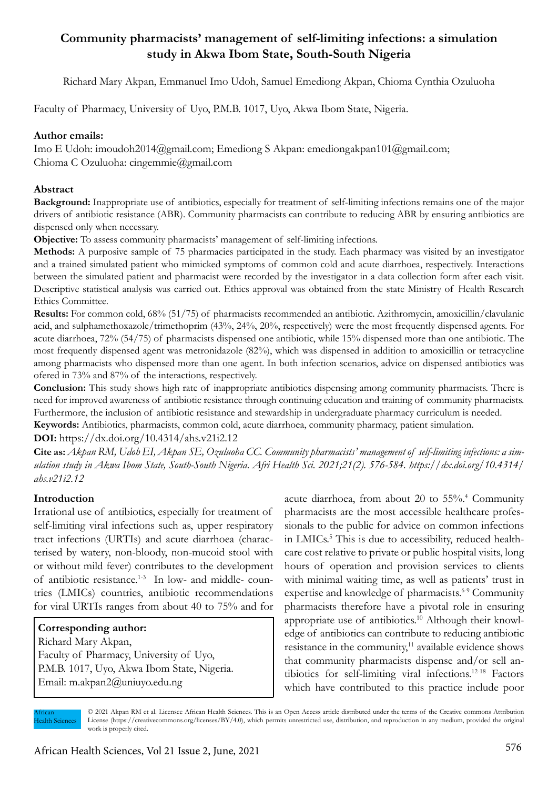# **Community pharmacists' management of self-limiting infections: a simulation study in Akwa Ibom State, South-South Nigeria**

Richard Mary Akpan, Emmanuel Imo Udoh, Samuel Emediong Akpan, Chioma Cynthia Ozuluoha

Faculty of Pharmacy, University of Uyo, P.M.B. 1017, Uyo, Akwa Ibom State, Nigeria.

# **Author emails:**

Imo E Udoh: imoudoh2014@gmail.com; Emediong S Akpan: emediongakpan101@gmail.com; Chioma C Ozuluoha: cingemmie@gmail.com

### **Abstract**

**Background:** Inappropriate use of antibiotics, especially for treatment of self-limiting infections remains one of the major drivers of antibiotic resistance (ABR). Community pharmacists can contribute to reducing ABR by ensuring antibiotics are dispensed only when necessary.

**Objective:** To assess community pharmacists' management of self-limiting infections.

**Methods:** A purposive sample of 75 pharmacies participated in the study. Each pharmacy was visited by an investigator and a trained simulated patient who mimicked symptoms of common cold and acute diarrhoea, respectively. Interactions between the simulated patient and pharmacist were recorded by the investigator in a data collection form after each visit. Descriptive statistical analysis was carried out. Ethics approval was obtained from the state Ministry of Health Research Ethics Committee.

**Results:** For common cold, 68% (51/75) of pharmacists recommended an antibiotic. Azithromycin, amoxicillin/clavulanic acid, and sulphamethoxazole/trimethoprim (43%, 24%, 20%, respectively) were the most frequently dispensed agents. For acute diarrhoea, 72% (54/75) of pharmacists dispensed one antibiotic, while 15% dispensed more than one antibiotic. The most frequently dispensed agent was metronidazole (82%), which was dispensed in addition to amoxicillin or tetracycline among pharmacists who dispensed more than one agent. In both infection scenarios, advice on dispensed antibiotics was ofered in 73% and 87% of the interactions, respectively.

**Conclusion:** This study shows high rate of inappropriate antibiotics dispensing among community pharmacists. There is need for improved awareness of antibiotic resistance through continuing education and training of community pharmacists. Furthermore, the inclusion of antibiotic resistance and stewardship in undergraduate pharmacy curriculum is needed. **Keywords:** Antibiotics, pharmacists, common cold, acute diarrhoea, community pharmacy, patient simulation.

**DOI:** https://dx.doi.org/10.4314/ahs.v21i2.12

**Cite as:** *Akpan RM, Udoh EI, Akpan SE, Ozuluoha CC. Community pharmacists' management of self-limiting infections: a simulation study in Akwa Ibom State, South-South Nigeria. Afri Health Sci. 2021;21(2). 576-584. https://dx.doi.org/10.4314/ ahs.v21i2.12*

# **Introduction**

Irrational use of antibiotics, especially for treatment of self-limiting viral infections such as, upper respiratory tract infections (URTIs) and acute diarrhoea (characterised by watery, non-bloody, non-mucoid stool with or without mild fever) contributes to the development of antibiotic resistance.<sup>1-3</sup> In low- and middle- countries (LMICs) countries, antibiotic recommendations for viral URTIs ranges from about 40 to 75% and for

# **Corresponding author:**

Richard Mary Akpan, Faculty of Pharmacy, University of Uyo, P.M.B. 1017, Uyo, Akwa Ibom State, Nigeria. Email: m.akpan2@uniuyo.edu.ng

acute diarrhoea, from about 20 to 55%.4 Community pharmacists are the most accessible healthcare professionals to the public for advice on common infections in LMICs.<sup>5</sup> This is due to accessibility, reduced healthcare cost relative to private or public hospital visits, long hours of operation and provision services to clients with minimal waiting time, as well as patients' trust in expertise and knowledge of pharmacists.<sup>6-9</sup> Community pharmacists therefore have a pivotal role in ensuring appropriate use of antibiotics.10 Although their knowledge of antibiotics can contribute to reducing antibiotic resistance in the community,<sup>11</sup> available evidence shows that community pharmacists dispense and/or sell antibiotics for self-limiting viral infections.12-18 Factors which have contributed to this practice include poor

African Health Sciences © 2021 Akpan RM et al. Licensee African Health Sciences. This is an Open Access article distributed under the terms of the Creative commons Attribution License (https://creativecommons.org/licenses/BY/4.0), which permits unrestricted use, distribution, and reproduction in any medium, provided the original work is properly cited.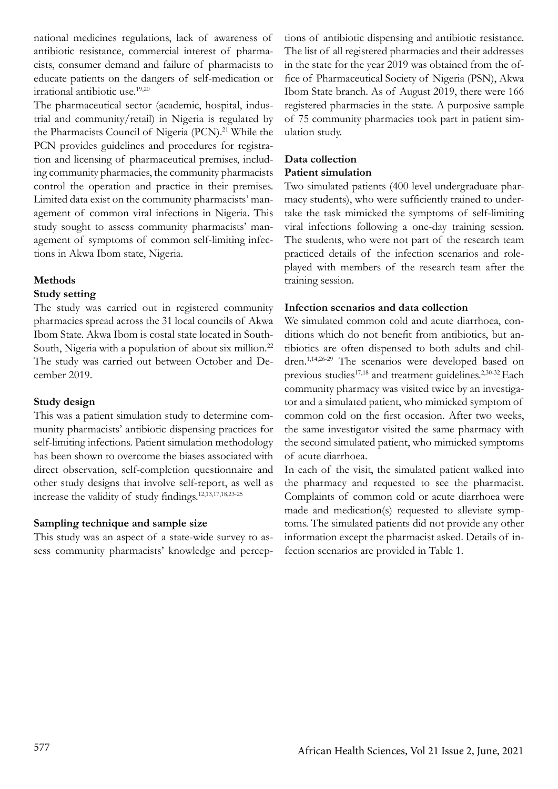national medicines regulations, lack of awareness of antibiotic resistance, commercial interest of pharmacists, consumer demand and failure of pharmacists to educate patients on the dangers of self-medication or irrational antibiotic use.19,20

The pharmaceutical sector (academic, hospital, industrial and community/retail) in Nigeria is regulated by the Pharmacists Council of Nigeria (PCN).<sup>21</sup> While the PCN provides guidelines and procedures for registration and licensing of pharmaceutical premises, including community pharmacies, the community pharmacists control the operation and practice in their premises. Limited data exist on the community pharmacists' management of common viral infections in Nigeria. This study sought to assess community pharmacists' management of symptoms of common self-limiting infections in Akwa Ibom state, Nigeria.

# **Methods**

#### **Study setting**

The study was carried out in registered community pharmacies spread across the 31 local councils of Akwa Ibom State. Akwa Ibom is costal state located in South-South, Nigeria with a population of about six million.<sup>22</sup> The study was carried out between October and December 2019.

### **Study design**

This was a patient simulation study to determine community pharmacists' antibiotic dispensing practices for self-limiting infections. Patient simulation methodology has been shown to overcome the biases associated with direct observation, self-completion questionnaire and other study designs that involve self-report, as well as increase the validity of study findings.12,13,17,18,23-25

### **Sampling technique and sample size**

This study was an aspect of a state-wide survey to assess community pharmacists' knowledge and perceptions of antibiotic dispensing and antibiotic resistance. The list of all registered pharmacies and their addresses in the state for the year 2019 was obtained from the office of Pharmaceutical Society of Nigeria (PSN), Akwa Ibom State branch. As of August 2019, there were 166 registered pharmacies in the state. A purposive sample of 75 community pharmacies took part in patient simulation study.

# **Data collection Patient simulation**

Two simulated patients (400 level undergraduate pharmacy students), who were sufficiently trained to undertake the task mimicked the symptoms of self-limiting viral infections following a one-day training session. The students, who were not part of the research team practiced details of the infection scenarios and roleplayed with members of the research team after the training session.

#### **Infection scenarios and data collection**

We simulated common cold and acute diarrhoea, conditions which do not benefit from antibiotics, but antibiotics are often dispensed to both adults and children.1,14,26-29 The scenarios were developed based on previous studies<sup>17,18</sup> and treatment guidelines.<sup>2,30-32</sup> Each community pharmacy was visited twice by an investigator and a simulated patient, who mimicked symptom of common cold on the first occasion. After two weeks, the same investigator visited the same pharmacy with the second simulated patient, who mimicked symptoms of acute diarrhoea.

In each of the visit, the simulated patient walked into the pharmacy and requested to see the pharmacist. Complaints of common cold or acute diarrhoea were made and medication(s) requested to alleviate symptoms. The simulated patients did not provide any other information except the pharmacist asked. Details of infection scenarios are provided in Table 1.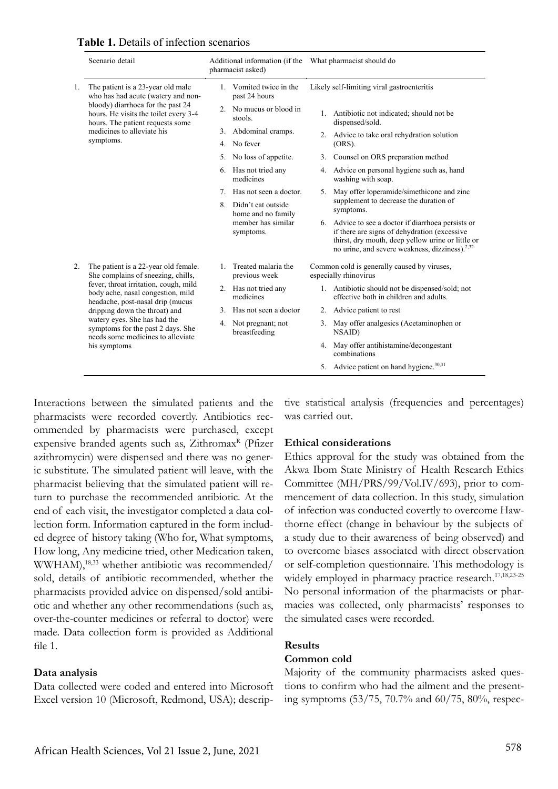|    | Scenario detail                                                                                                                                                                                                                                                                                                                                         | Additional information (if the<br>pharmacist asked) | What pharmacist should do                                                                                                                                                                                    |
|----|---------------------------------------------------------------------------------------------------------------------------------------------------------------------------------------------------------------------------------------------------------------------------------------------------------------------------------------------------------|-----------------------------------------------------|--------------------------------------------------------------------------------------------------------------------------------------------------------------------------------------------------------------|
| 1. | The patient is a 23-year old male<br>who has had acute (watery and non-<br>bloody) diarrhoea for the past 24<br>hours. He visits the toilet every 3-4<br>hours. The patient requests some<br>medicines to alleviate his<br>symptoms.                                                                                                                    | 1. Vomited twice in the<br>past 24 hours            | Likely self-limiting viral gastroenteritis                                                                                                                                                                   |
|    |                                                                                                                                                                                                                                                                                                                                                         | 2. No mucus or blood in<br>stools.                  | 1. Antibiotic not indicated; should not be<br>dispensed/sold.                                                                                                                                                |
|    |                                                                                                                                                                                                                                                                                                                                                         | 3. Abdominal cramps.<br>4. No fever                 | 2. Advice to take oral rehydration solution<br>(ORS).                                                                                                                                                        |
|    |                                                                                                                                                                                                                                                                                                                                                         | 5. No loss of appetite.                             | 3. Counsel on ORS preparation method                                                                                                                                                                         |
|    |                                                                                                                                                                                                                                                                                                                                                         | 6. Has not tried any<br>medicines                   | 4. Advice on personal hygiene such as, hand<br>washing with soap.                                                                                                                                            |
|    |                                                                                                                                                                                                                                                                                                                                                         | Has not seen a doctor.                              | 5. May offer loperamide/simethicone and zinc                                                                                                                                                                 |
|    |                                                                                                                                                                                                                                                                                                                                                         | Didn't eat outside<br>8.<br>home and no family      | supplement to decrease the duration of<br>symptoms.                                                                                                                                                          |
|    |                                                                                                                                                                                                                                                                                                                                                         | member has similar<br>symptoms.                     | 6. Advice to see a doctor if diarrhoea persists or<br>if there are signs of dehydration (excessive<br>thirst, dry mouth, deep yellow urine or little or<br>no urine, and severe weakness, dizziness). $2,32$ |
| 2. | The patient is a 22-year old female.<br>She complains of sneezing, chills,<br>fever, throat irritation, cough, mild<br>body ache, nasal congestion, mild<br>headache, post-nasal drip (mucus<br>dripping down the throat) and<br>watery eyes. She has had the<br>symptoms for the past 2 days. She<br>needs some medicines to alleviate<br>his symptoms | 1. Treated malaria the<br>previous week             | Common cold is generally caused by viruses,<br>especially rhinovirus                                                                                                                                         |
|    |                                                                                                                                                                                                                                                                                                                                                         | 2. Has not tried any<br>medicines                   | 1. Antibiotic should not be dispensed/sold; not<br>effective both in children and adults.                                                                                                                    |
|    |                                                                                                                                                                                                                                                                                                                                                         | 3.<br>Has not seen a doctor                         | 2. Advice patient to rest                                                                                                                                                                                    |
|    |                                                                                                                                                                                                                                                                                                                                                         | 4. Not pregnant; not<br>breastfeeding               | 3. May offer analgesics (Acetaminophen or<br>NSAID)                                                                                                                                                          |
|    |                                                                                                                                                                                                                                                                                                                                                         |                                                     | 4. May offer antihistamine/decongestant<br>combinations                                                                                                                                                      |
|    |                                                                                                                                                                                                                                                                                                                                                         |                                                     | 5. Advice patient on hand hygiene. <sup>30,31</sup>                                                                                                                                                          |

**Table 1.** Details of infection scenarios

Interactions between the simulated patients and the tive sta pharmacists were recorded covertly. Antibiotics rec- was ommended by pharmacists were purchased, except expensive branded agents such as, Zithromax<sup>R</sup> (Pfizer expensive brancica agents such as, Zhinomax (1 nzci ic substitute. The simulated patient will leave, with the pharmacist believing that the simulated patient will return to purchase the recommended antibiotic. At the end of each visit, the investigator completed a data collection form. Information captured in the form included degree of history taking (Who for, What symptoms, How long, Any medicine tried, other Medication taken, WWHAM),<sup>18,33</sup> whether antibiotic was recommended/ sold, details of antibiotic recommended, whether the pharmacists provided advice on dispensed/sold antibiotic and whether any other recommendations (such as, over-the-counter medicines or referral to doctor) were made. Data collection form is provided as Additional file 1.

#### **Data analysis**

Data collected were coded and entered into Microsoft Excel version 10 (Microsoft, Redmond, USA); descriptive statistical analysis (frequencies and percentages)  $\mathfrak{m}$ . May offer analysis (Acetaminophen or  $\mathfrak{m}$ was carried out.

#### **Ethical considerations**

 $\frac{1}{2}$ . May offer anti-Ethics approval for the study was obtained from the 5. Advice patient on hand hygiene.30,31 Committee (MH/PRS/99/Vol.IV/693), prior to com-Akwa Ibom State Ministry of Health Research Ethics mencement of data collection. In this study, simulation of infection was conducted covertly to overcome Hawthorne effect (change in behaviour by the subjects of a study due to their awareness of being observed) and to overcome biases associated with direct observation or self-completion questionnaire. This methodology is widely employed in pharmacy practice research.<sup>17,18,23-25</sup> No personal information of the pharmacists or pharmacies was collected, only pharmacists' responses to the simulated cases were recorded.

# **Results**

# **Common cold**

Majority of the community pharmacists asked questions to confirm who had the ailment and the presenting symptoms (53/75, 70.7% and 60/75, 80%, respec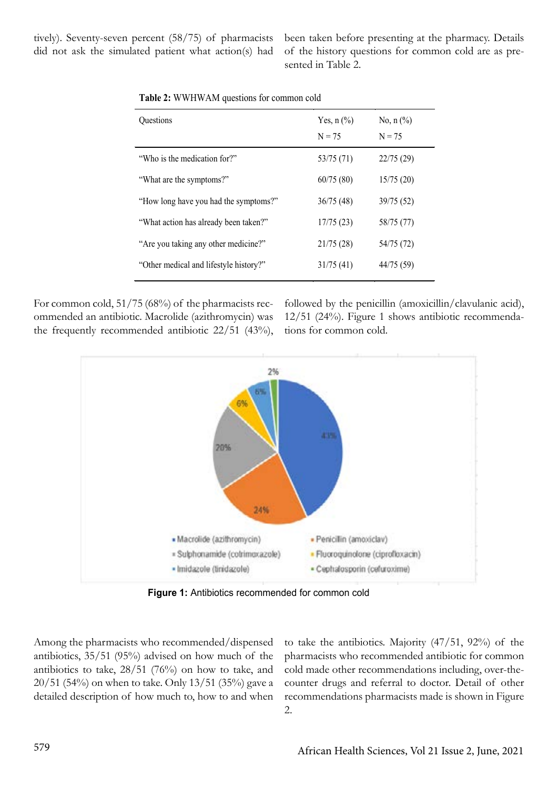tively). Seventy-seven percent (58/75) of pharmacists did not ask the simulated patient what action(s) had been taken before presenting at the pharmacy. Details of the history questions for common cold are as presented in Table 2.

| Questions                              | Yes, $n$ $(\%)$<br>$N = 75$ | No, $n$ $(\%)$<br>$N = 75$ |
|----------------------------------------|-----------------------------|----------------------------|
| "Who is the medication for?"           | 53/75 (71)                  | 22/75 (29)                 |
| "What are the symptoms?"               | 60/75(80)                   | 15/75(20)                  |
| "How long have you had the symptoms?"  | 36/75 (48)                  | 39/75 (52)                 |
| "What action has already been taken?"  | 17/75(23)                   | 58/75 (77)                 |
| "Are you taking any other medicine?"   | 21/75 (28)                  | 54/75 (72)                 |
| "Other medical and lifestyle history?" | 31/75(41)                   | 44/75 (59)                 |
|                                        |                             |                            |

For common cold, 51/75 (68%) of the pharmacists recommended an antibiotic. Macrolide (azithromycin) was the frequently recommended antibiotic 22/51 (43%), followed by the penicillin (amoxicillin/clavulanic acid), 12/51 (24%). Figure 1 shows antibiotic recommendations for common cold.



**Figure 1:** Antibiotics recommended for common cold

Among the pharmacists who recommended/dispensed antibiotics, 35/51 (95%) advised on how much of the antibiotics to take, 28/51 (76%) on how to take, and 20/51 (54%) on when to take. Only 13/51 (35%) gave a detailed description of how much to, how to and when

to take the antibiotics. Majority (47/51, 92%) of the pharmacists who recommended antibiotic for common cold made other recommendations including, over-thecounter drugs and referral to doctor. Detail of other recommendations pharmacists made is shown in Figure 2.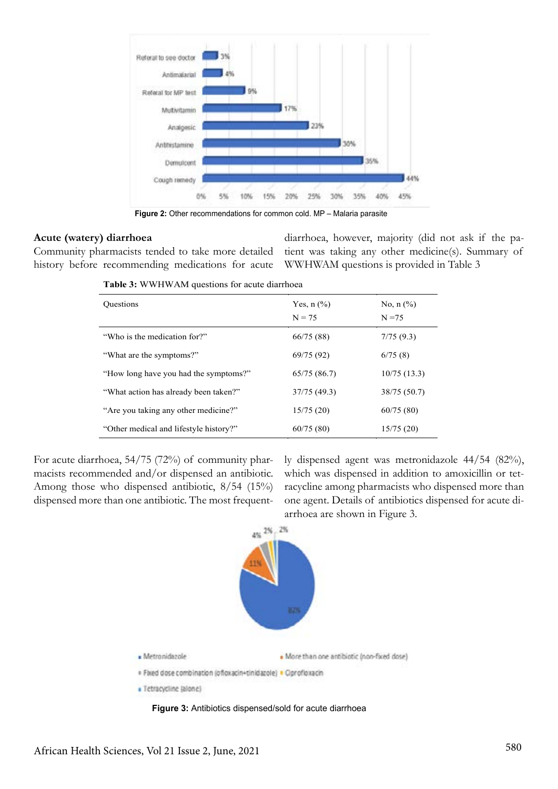

**Figure 2:** Other recommendations for common cold. MP – Malaria parasite

#### **Acute (watery) diarrhoea**

Community pharmacists tended to take more detailed history before recommending medications for acute

diarrhoea, however, majority (did not ask if the patient was taking any other medicine(s). Summary of WWHWAM questions is provided in Table 3

| <b>Ouestions</b>                       | Yes, $n$ $\left(\frac{9}{6}\right)$<br>$N = 75$ | No, $n$ $\frac{6}{6}$<br>$N = 75$ |
|----------------------------------------|-------------------------------------------------|-----------------------------------|
| "Who is the medication for?"           | 66/75 (88)                                      | 7/75(9.3)                         |
| "What are the symptoms?"               | 69/75 (92)                                      | 6/75(8)                           |
| "How long have you had the symptoms?"  | 65/75 (86.7)                                    | 10/75(13.3)                       |
| "What action has already been taken?"  | 37/75 (49.3)                                    | 38/75 (50.7)                      |
| "Are you taking any other medicine?"   | 15/75(20)                                       | 60/75(80)                         |
| "Other medical and lifestyle history?" | 60/75(80)                                       | 15/75(20)                         |
|                                        |                                                 |                                   |

**Table 3:** WWHWAM questions for acute diarrhoea

For acute diarrhoea, 54/75 (72%) of community pharmacists recommended and/or dispensed an antibiotic. Among those who dispensed antibiotic, 8/54 (15%) dispensed more than one antibiotic. The most frequent-

ly dispensed agent was metronidazole 44/54 (82%), which was dispensed in addition to amoxicillin or tetracycline among pharmacists who dispensed more than one agent. Details of antibiotics dispensed for acute diarrhoea are shown in Figure 3.



**Figure 3:** Antibiotics dispensed/sold for acute diarrhoea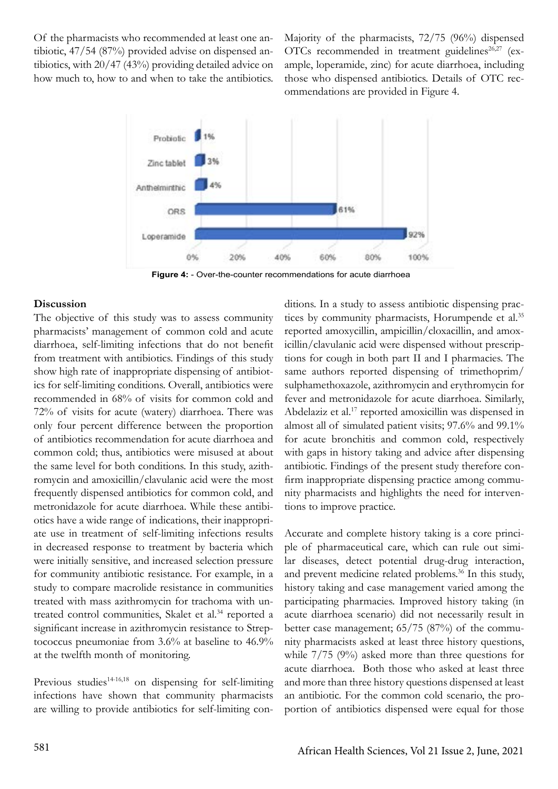Of the pharmacists who recommended at least one antibiotic, 47/54 (87%) provided advise on dispensed antibiotics, with 20/47 (43%) providing detailed advice on how much to, how to and when to take the antibiotics. Majority of the pharmacists, 72/75 (96%) dispensed OTCs recommended in treatment guidelines<sup>26,27</sup> (example, loperamide, zinc) for acute diarrhoea, including those who dispensed antibiotics. Details of OTC recommendations are provided in Figure 4.



**Figure 4:** - Over-the-counter recommendations for acute diarrhoea

#### **Discussion**

The objective of this study was to assess community pharmacists' management of common cold and acute diarrhoea, self-limiting infections that do not benefit from treatment with antibiotics. Findings of this study show high rate of inappropriate dispensing of antibiotics for self-limiting conditions. Overall, antibiotics were recommended in 68% of visits for common cold and 72% of visits for acute (watery) diarrhoea. There was only four percent difference between the proportion of antibiotics recommendation for acute diarrhoea and common cold; thus, antibiotics were misused at about the same level for both conditions. In this study, azithromycin and amoxicillin/clavulanic acid were the most frequently dispensed antibiotics for common cold, and metronidazole for acute diarrhoea. While these antibiotics have a wide range of indications, their inappropriate use in treatment of self-limiting infections results in decreased response to treatment by bacteria which were initially sensitive, and increased selection pressure for community antibiotic resistance. For example, in a study to compare macrolide resistance in communities treated with mass azithromycin for trachoma with untreated control communities, Skalet et al.<sup>34</sup> reported a significant increase in azithromycin resistance to Streptococcus pneumoniae from 3.6% at baseline to 46.9% at the twelfth month of monitoring.

Previous studies<sup>14-16,18</sup> on dispensing for self-limiting infections have shown that community pharmacists are willing to provide antibiotics for self-limiting conditions. In a study to assess antibiotic dispensing practices by community pharmacists, Horumpende et al.<sup>35</sup> reported amoxycillin, ampicillin/cloxacillin, and amoxicillin/clavulanic acid were dispensed without prescriptions for cough in both part II and I pharmacies. The same authors reported dispensing of trimethoprim/ sulphamethoxazole, azithromycin and erythromycin for fever and metronidazole for acute diarrhoea. Similarly, Abdelaziz et al.17 reported amoxicillin was dispensed in almost all of simulated patient visits; 97.6% and 99.1% for acute bronchitis and common cold, respectively with gaps in history taking and advice after dispensing antibiotic. Findings of the present study therefore confirm inappropriate dispensing practice among community pharmacists and highlights the need for interventions to improve practice.

Accurate and complete history taking is a core principle of pharmaceutical care, which can rule out similar diseases, detect potential drug-drug interaction, and prevent medicine related problems.<sup>36</sup> In this study, history taking and case management varied among the participating pharmacies. Improved history taking (in acute diarrhoea scenario) did not necessarily result in better case management; 65/75 (87%) of the community pharmacists asked at least three history questions, while 7/75 (9%) asked more than three questions for acute diarrhoea. Both those who asked at least three and more than three history questions dispensed at least an antibiotic. For the common cold scenario, the proportion of antibiotics dispensed were equal for those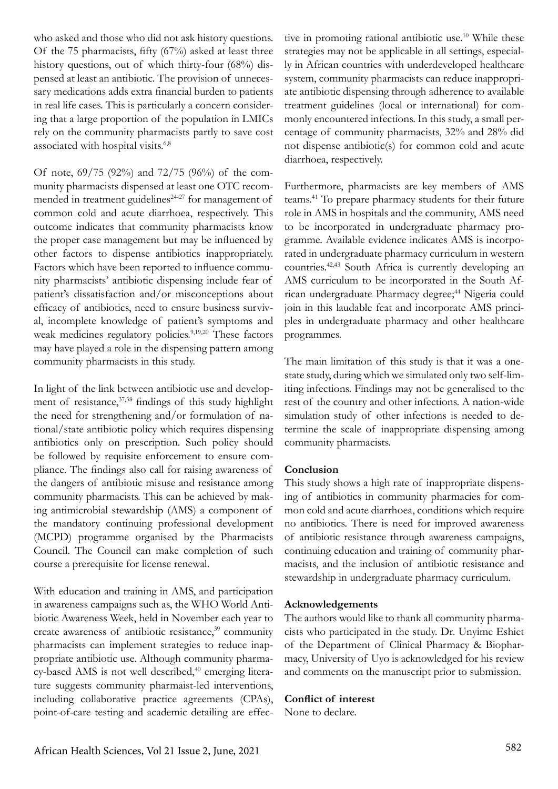who asked and those who did not ask history questions. Of the 75 pharmacists, fifty (67%) asked at least three history questions, out of which thirty-four (68%) dispensed at least an antibiotic. The provision of unnecessary medications adds extra financial burden to patients in real life cases. This is particularly a concern considering that a large proportion of the population in LMICs rely on the community pharmacists partly to save cost associated with hospital visits.6,8

Of note, 69/75 (92%) and 72/75 (96%) of the community pharmacists dispensed at least one OTC recommended in treatment guidelines<sup>24-27</sup> for management of common cold and acute diarrhoea, respectively. This outcome indicates that community pharmacists know the proper case management but may be influenced by other factors to dispense antibiotics inappropriately. Factors which have been reported to influence community pharmacists' antibiotic dispensing include fear of patient's dissatisfaction and/or misconceptions about efficacy of antibiotics, need to ensure business survival, incomplete knowledge of patient's symptoms and weak medicines regulatory policies.<sup>9,19,20</sup> These factors may have played a role in the dispensing pattern among community pharmacists in this study.

In light of the link between antibiotic use and development of resistance, 37,38 findings of this study highlight the need for strengthening and/or formulation of national/state antibiotic policy which requires dispensing antibiotics only on prescription. Such policy should be followed by requisite enforcement to ensure compliance. The findings also call for raising awareness of the dangers of antibiotic misuse and resistance among community pharmacists. This can be achieved by making antimicrobial stewardship (AMS) a component of the mandatory continuing professional development (MCPD) programme organised by the Pharmacists Council. The Council can make completion of such course a prerequisite for license renewal.

With education and training in AMS, and participation in awareness campaigns such as, the WHO World Antibiotic Awareness Week, held in November each year to create awareness of antibiotic resistance,<sup>39</sup> community pharmacists can implement strategies to reduce inappropriate antibiotic use. Although community pharma $cy$ -based AMS is not well described, $40$  emerging literature suggests community pharmaist-led interventions, including collaborative practice agreements (CPAs), point-of-care testing and academic detailing are effective in promoting rational antibiotic use.<sup>10</sup> While these strategies may not be applicable in all settings, especially in African countries with underdeveloped healthcare system, community pharmacists can reduce inappropriate antibiotic dispensing through adherence to available treatment guidelines (local or international) for commonly encountered infections. In this study, a small percentage of community pharmacists, 32% and 28% did not dispense antibiotic(s) for common cold and acute diarrhoea, respectively.

Furthermore, pharmacists are key members of AMS teams.41 To prepare pharmacy students for their future role in AMS in hospitals and the community, AMS need to be incorporated in undergraduate pharmacy programme. Available evidence indicates AMS is incorporated in undergraduate pharmacy curriculum in western countries.42,43 South Africa is currently developing an AMS curriculum to be incorporated in the South African undergraduate Pharmacy degree;<sup>44</sup> Nigeria could join in this laudable feat and incorporate AMS principles in undergraduate pharmacy and other healthcare programmes.

The main limitation of this study is that it was a onestate study, during which we simulated only two self-limiting infections. Findings may not be generalised to the rest of the country and other infections. A nation-wide simulation study of other infections is needed to determine the scale of inappropriate dispensing among community pharmacists.

### **Conclusion**

This study shows a high rate of inappropriate dispensing of antibiotics in community pharmacies for common cold and acute diarrhoea, conditions which require no antibiotics. There is need for improved awareness of antibiotic resistance through awareness campaigns, continuing education and training of community pharmacists, and the inclusion of antibiotic resistance and stewardship in undergraduate pharmacy curriculum.

### **Acknowledgements**

The authors would like to thank all community pharmacists who participated in the study. Dr. Unyime Eshiet of the Department of Clinical Pharmacy & Biopharmacy, University of Uyo is acknowledged for his review and comments on the manuscript prior to submission.

#### **Conflict of interest**

None to declare.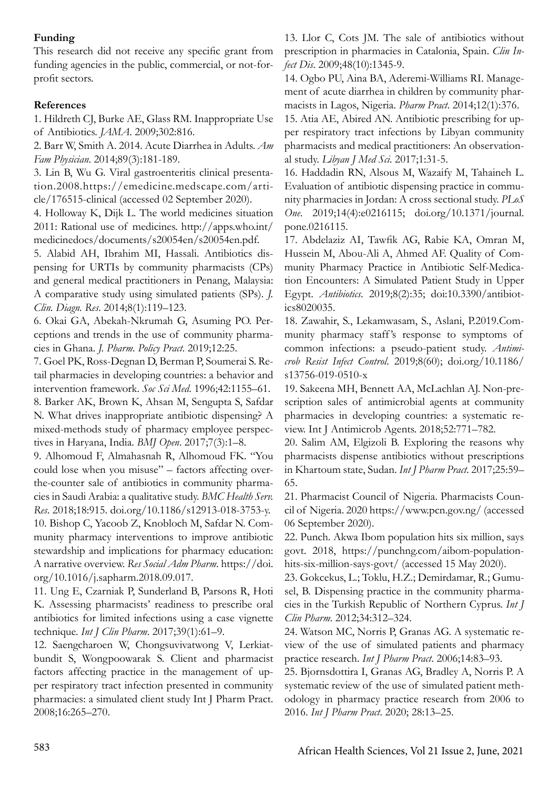# **Funding**

This research did not receive any specific grant from funding agencies in the public, commercial, or not-forprofit sectors.

# **References**

1. Hildreth CJ, Burke AE, Glass RM. Inappropriate Use of Antibiotics. *JAMA*. 2009;302:816.

2. Barr W, Smith A. 2014. Acute Diarrhea in Adults. *Am Fam Physician*. 2014;89(3):181-189.

3. Lin B, Wu G. Viral gastroenteritis clinical presentation.2008.https://emedicine.medscape.com/article/176515-clinical (accessed 02 September 2020).

4. Holloway K, Dijk L. The world medicines situation 2011: Rational use of medicines. http://apps.who.int/ medicinedocs/documents/s20054en/s20054en.pdf.

5. Alabid AH, Ibrahim MI, Hassali. Antibiotics dispensing for URTIs by community pharmacists (CPs) and general medical practitioners in Penang, Malaysia: A comparative study using simulated patients (SPs). *J. Clin. Diagn. Res*. 2014;8(1):119–123.

6. Okai GA, Abekah-Nkrumah G, Asuming PO. Perceptions and trends in the use of community pharmacies in Ghana. *J. Pharm. Policy Pract*. 2019;12:25.

7. Goel PK, Ross-Degnan D, Berman P, Soumerai S. Retail pharmacies in developing countries: a behavior and intervention framework. *Soc Sci Med*. 1996;42:1155–61.

8. Barker AK, Brown K, Ahsan M, Sengupta S, Safdar N. What drives inappropriate antibiotic dispensing? A mixed-methods study of pharmacy employee perspectives in Haryana, India. *BMJ Open*. 2017;7(3):1–8.

9. Alhomoud F, Almahasnah R, Alhomoud FK. "You could lose when you misuse" – factors affecting overthe-counter sale of antibiotics in community pharmacies in Saudi Arabia: a qualitative study. *BMC Health Serv. Res*. 2018;18:915. doi.org/10.1186/s12913-018-3753-y. 10. Bishop C, Yacoob Z, Knobloch M, Safdar N. Community pharmacy interventions to improve antibiotic stewardship and implications for pharmacy education: A narrative overview. *Res Social Adm Pharm*. https://doi. org/10.1016/j.sapharm.2018.09.017.

11. Ung E, Czarniak P, Sunderland B, Parsons R, Hoti K. Assessing pharmacists' readiness to prescribe oral antibiotics for limited infections using a case vignette technique. *Int J Clin Pharm*. 2017;39(1):61–9.

12. Saengcharoen W, Chongsuvivatwong V, Lerkiatbundit S, Wongpoowarak S. Client and pharmacist factors affecting practice in the management of upper respiratory tract infection presented in community pharmacies: a simulated client study Int J Pharm Pract. 2008;16:265–270.

13. Llor C, Cots JM. The sale of antibiotics without prescription in pharmacies in Catalonia, Spain. *Clin Infect Dis*. 2009;48(10):1345-9.

14. Ogbo PU, Aina BA, Aderemi-Williams RI. Management of acute diarrhea in children by community pharmacists in Lagos, Nigeria. *Pharm Pract*. 2014;12(1):376.

15. Atia AE, Abired AN. Antibiotic prescribing for upper respiratory tract infections by Libyan community pharmacists and medical practitioners: An observational study. *Libyan J Med Sci*. 2017;1:31-5.

16. Haddadin RN, Alsous M, Wazaify M, Tahaineh L. Evaluation of antibiotic dispensing practice in community pharmacies in Jordan: A cross sectional study. *PLoS One*. 2019;14(4):e0216115; doi.org/10.1371/journal. pone.0216115.

17. Abdelaziz AI, Tawfik AG, Rabie KA, Omran M, Hussein M, Abou-Ali A, Ahmed AF. Quality of Community Pharmacy Practice in Antibiotic Self-Medication Encounters: A Simulated Patient Study in Upper Egypt. *Antibiotics*. 2019;8(2):35; doi:10.3390/antibiotics8020035.

18. Zawahir, S., Lekamwasam, S., Aslani, P.2019.Community pharmacy staff 's response to symptoms of common infections: a pseudo-patient study. *Antimicrob Resist Infect Control*. 2019;8(60); doi.org/10.1186/ s13756-019-0510-x

19. Sakeena MH, Bennett AA, McLachlan AJ. Non-prescription sales of antimicrobial agents at community pharmacies in developing countries: a systematic review. Int J Antimicrob Agents. 2018;52:771–782.

20. Salim AM, Elgizoli B. Exploring the reasons why pharmacists dispense antibiotics without prescriptions in Khartoum state, Sudan. *Int J Pharm Pract*. 2017;25:59– 65.

21. Pharmacist Council of Nigeria. Pharmacists Council of Nigeria. 2020 https://www.pcn.gov.ng/ (accessed 06 September 2020).

22. Punch. Akwa Ibom population hits six million, says govt. 2018, https://punchng.com/aibom-populationhits-six-million-says-govt/ (accessed 15 May 2020).

23. Gokcekus, L.; Toklu, H.Z.; Demirdamar, R.; Gumusel, B. Dispensing practice in the community pharmacies in the Turkish Republic of Northern Cyprus. *Int J Clin Pharm*. 2012;34:312–324.

24. Watson MC, Norris P, Granas AG. A systematic review of the use of simulated patients and pharmacy practice research. *Int J Pharm Pract*. 2006;14:83–93.

25. Bjornsdottira I, Granas AG, Bradley A, Norris P. A systematic review of the use of simulated patient methodology in pharmacy practice research from 2006 to 2016. *Int J Pharm Pract*. 2020; 28:13–25.